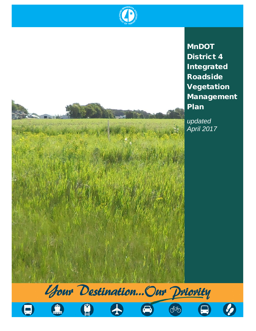



*updated April 2017*

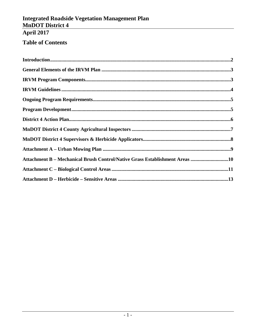## **Table of Contents**

| Attachment B - Mechanical Brush Control/Native Grass Establishment Areas 10 |  |
|-----------------------------------------------------------------------------|--|
|                                                                             |  |
|                                                                             |  |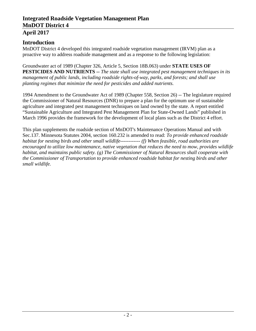#### **April 2017**

### **Introduction**

MnDOT District 4 developed this integrated roadside vegetation management (IRVM) plan as a proactive way to address roadside management and as a response to the following legislation:

Groundwater act of 1989 (Chapter 326, Article 5, Section 18B.063) under **STATE USES OF PESTICIDES AND NUTRIENTS --** *The state shall use integrated pest management techniques in its management of public lands, including roadside rights-of-way, parks, and forests; and shall use planting regimes that minimize the need for pesticides and added nutrients.*

1994 Amendment to the Groundwater Act of 1989 (Chapter 558, Section 26) -- The legislature required the Commissioner of Natural Resources (DNR) to prepare a plan for the optimum use of sustainable agriculture and integrated pest management techniques on land owned by the state. A report entitled "Sustainable Agriculture and Integrated Pest Management Plan for State-Owned Lands" published in March 1996 provides the framework for the development of local plans such as the District 4 effort.

This plan supplements the roadside section of MnDOT's Maintenance Operations Manual and with Sec.137. Minnesota Statutes 2004, section 160.232 is amended to read: *To provide enhanced roadside habitat for nesting birds and other small wildlife------------ (f) When feasible, road authorities are encouraged to utilize low maintenance, native vegetation that reduces the need to mow, provides wildlife habitat, and maintains public safety. (g) The Commissioner of Natural Resources shall cooperate with the Commissioner of Transportation to provide enhanced roadside habitat for nesting birds and other small wildlife.*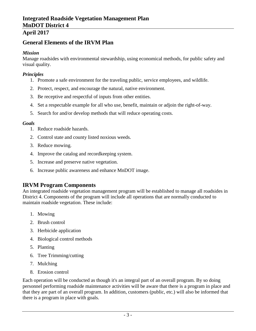### **General Elements of the IRVM Plan**

#### *Mission*

Manage roadsides with environmental stewardship, using economical methods, for public safety and visual quality.

#### *Principles*

- 1. Promote a safe environment for the traveling public, service employees, and wildlife.
- 2. Protect, respect, and encourage the natural, native environment.
- 3. Be receptive and respectful of inputs from other entities.
- 4. Set a respectable example for all who use, benefit, maintain or adjoin the right-of-way.
- 5. Search for and/or develop methods that will reduce operating costs.

#### *Goals*

- 1. Reduce roadside hazards.
- 2. Control state and county listed noxious weeds.
- 3. Reduce mowing.
- 4. Improve the catalog and recordkeeping system.
- 5. Increase and preserve native vegetation.
- 6. Increase public awareness and enhance MnDOT image.

### **IRVM Program Components**

An integrated roadside vegetation management program will be established to manage all roadsides in District 4. Components of the program will include all operations that are normally conducted to maintain roadside vegetation. These include:

- 1. Mowing
- 2. Brush control
- 3. Herbicide application
- 4. Biological control methods
- 5. Planting
- 6. Tree Trimming/cutting
- 7. Mulching
- 8. Erosion control

Each operation will be conducted as though it's an integral part of an overall program. By so doing personnel performing roadside maintenance activities will be aware that there is a program in place and that they are part of an overall program. In addition, customers (public, etc.) will also be informed that there is a program in place with goals.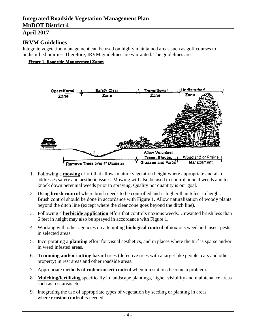### **IRVM Guidelines**

Integrate vegetation management can be used on highly maintained areas such as golf courses to undisturbed prairies. Therefore, IRVM guidelines are warranted. The guidelines are:

#### Figure 1. Roadside Management Zones



- 1. Following a **mowing** effort that allows mature vegetation height where appropriate and also addresses safety and aesthetic issues. Mowing will also be used to control annual weeds and to knock down perennial weeds prior to spraying. Quality not quantity is our goal.
- 2. Using **brush control** where brush needs to be controlled and is higher than 6 feet in height. Brush control should be done in accordance with Figure 1. Allow naturalization of woody plants beyond the ditch line (except where the clear zone goes beyond the ditch line).
- 3. Following a **herbicide application** effort that controls noxious weeds. Unwanted brush less than 6 feet in height may also be sprayed in accordance with Figure 1.
- 4. Working with other agencies on attempting **biological control** of noxious weed and insect pests in selected areas.
- 5. Incorporating a **planting** effort for visual aesthetics, and in places where the turf is sparse and/or in weed infested areas.
- 6. **Trimming and/or cutting** hazard trees (defective trees with a target like people, cars and other property) in rest areas and other roadside areas.
- 7. Appropriate methods of **rodent/insect control** when infestations become a problem.
- 8. **Mulching/fertilizing** specifically in landscape plantings, higher visibility and maintenance areas such as rest areas etc.
- 9. Integrating the use of appropriate types of vegetation by seeding or planting in areas where **erosion control** is needed.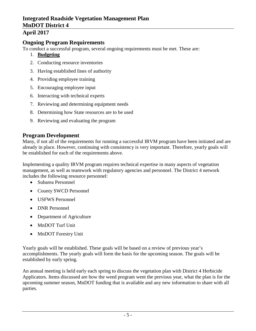### **April 2017**

### **Ongoing Program Requirements**

To conduct a successful program, several ongoing requirements must be met. These are:

- 1. **Budgeting**
- 2. Conducting resource inventories
- 3. Having established lines of authority
- 4. Providing employee training
- 5. Encouraging employee input
- 6. Interacting with technical experts
- 7. Reviewing and determining equipment needs
- 8. Determining how State resources are to be used
- 9. Reviewing and evaluating the program

### **Program Development**

Many, if not all of the requirements for running a successful IRVM program have been initiated and are already in place. However, continuing with consistency is very important. Therefore, yearly goals will be established for each of the requirements above.

Implementing a quality IRVM program requires technical expertise in many aspects of vegetation management, as well as teamwork with regulatory agencies and personnel. The District 4 network includes the following resource personnel:

- Subarea Personnel
- County SWCD Personnel
- USFWS Personnel
- DNR Personnel
- Department of Agriculture
- MnDOT Turf Unit
- MnDOT Forestry Unit

Yearly goals will be established. These goals will be based on a review of previous year's accomplishments. The yearly goals will form the basis for the upcoming season. The goals will be established by early spring.

An annual meeting is held early each spring to discuss the vegetation plan with District 4 Herbicide Applicators. Items discussed are how the weed program went the previous year, what the plan is for the upcoming summer season, MnDOT funding that is available and any new information to share with all parties.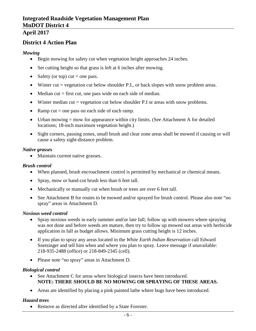### **District 4 Action Plan**

#### *Mowing*

- Begin mowing for safety cut when vegetation height approaches 24 inches.
- Set cutting height so that grass is left at 6 inches after mowing.
- Safety (or top) cut  $=$  one pass.
- Winter cut  $=$  vegetation cut below shoulder P.I., or back slopes with snow problem areas.
- Median cut  $=$  first cut, one pass wide on each side of median.
- Winter median cut  $=$  vegetation cut below shoulder P.I or areas with snow problems.
- Ramp cut  $=$  one pass on each side of each ramp.
- Urban mowing  $=$  mow for appearance within city limits. (See Attachment A for detailed locations; 18-inch maximum vegetation height.)
- Sight corners, passing zones, small brush and clear zone areas shall be mowed if causing or will cause a safety sight-distance problem.

#### *Native grasses*

• Maintain current native grasses.

#### *Brush control*

- When planned, brush encroachment control is permitted by mechanical or chemical means.
- Spray, mow or hand-cut brush less than 6 feet tall.
- Mechanically or manually cut when brush or trees are over 6 feet tall.
- See Attachment B for routes to be mowed and/or sprayed for brush control. Please also note "no spray" areas in Attachment D.

#### *Noxious weed control*

- Spray noxious weeds in early summer and/or late fall; follow up with mowers where spraying was not done and before weeds are mature, then try to follow up mowed out areas with herbicide application in fall as budget allows. Minimum grass cutting height is 12 inches.
- If you plan to spray any areas located in the *White Earth Indian Reservation* call Edward Snetsinger and tell him when and where you plan to spray. Leave message if unavailable: 218-935-2488 (office) or 218-849-2345 (cell).
- Please note "no spray" areas in Attachment D.

#### *Biological control*

- See Attachment C for areas where biological insects have been introduced. **NOTE: THERE SHOULD BE NO MOWING OR SPRAYING OF THESE AREAS.**
- Areas are identified by placing a pink painted lathe where bugs have been introduced.

#### *Hazard trees*

• Remove as directed after identified by a State Forester.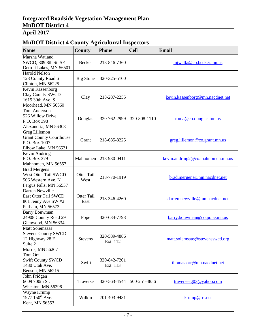## **MnDOT District 4 County Agricultural Inspectors**

| <b>Name</b>                                                                                           | <b>County</b>             | <b>Phone</b>             | <b>Cell</b>  | <b>Email</b>                     |
|-------------------------------------------------------------------------------------------------------|---------------------------|--------------------------|--------------|----------------------------------|
| Marsha Watland<br>SWCD, 809 8th St. SE<br>Detroit Lakes, MN 56501                                     | Becker                    | 218-846-7360             |              | mjwatla@co.becker.mn.us          |
| <b>Harold Nelson</b><br>123 County Road 6<br>Clinton, MN 56225                                        | <b>Big Stone</b>          | 320-325-5100             |              |                                  |
| Kevin Kassenborg<br>Clay County SWCD<br>1615 30th Ave. S<br>Moorhead, MN 56560                        | Clay                      | 218-287-2255             |              | kevin.kassenborg@mn.nacdnet.net  |
| <b>Tom Anderson</b><br>526 Willow Drive<br>P.O. Box 398<br>Alexandria, MN 56308                       | Douglas                   | 320-762-2999             | 320-808-1110 | toma@co.douglas.mn.us            |
| Greg Lillemon<br><b>Grant County Courthouse</b><br>P.O. Box 1007<br>Elbow Lake, MN 56531              | Grant                     | 218-685-8225             |              | greg.lillemon@co.grant.mn.us     |
| Kevin Andring<br>P.O. Box 379<br>Mahnomen, MN 56557                                                   | Mahnomen                  | 218-930-0411             |              | kevin.andring2@co.mahnomen.mn.us |
| <b>Brad Mergens</b><br><b>West Otter Tail SWCD</b><br>506 Western Ave. N<br>Fergus Falls, MN 56537    | Otter Tail<br>West        | 218-770-1919             |              | brad.mergens@mn.nacdnet.net      |
| Darren Newville<br><b>East Otter Tail SWCD</b><br>801 Jenny Ave SW #2<br>Perham, MN 56573             | <b>Otter Tail</b><br>East | 218-346-4260             |              | darren.newville@mn.nacdnet.net   |
| <b>Barry Bouwman</b><br>24908 County Road 29<br>Glenwood, MN 56334                                    | Pope                      | 320-634-7793             |              | barry.bouwman@co.pope.mn.us      |
| <b>Matt Solemsaas</b><br><b>Stevens County SWCD</b><br>12 Highway 28 E<br>Suite 2<br>Morris, MN 56267 | <b>Stevens</b>            | 320-589-4886<br>Ext. 112 |              | matt.solemsaas@stevensswcd.org   |
| Tom Orr<br><b>Swift County SWCD</b><br>1430 Utah Ave.<br>Benson, MN 56215                             | Swift                     | 320-842-7201<br>Ext. 113 |              | thomas.orr@mn.nacdnet.net        |
| John Fridgen<br>6609 700th St.<br>Wheaton, MN 56296                                                   | Traverse                  | 320-563-4544             | 500-251-4856 | traverseag03@yahoo.com           |
| Wayne Krump<br>1977 150 <sup>th</sup> Ave.<br>Kent, MN 56553                                          | Wilkin                    | 701-403-9431             |              | krump@rrt.net                    |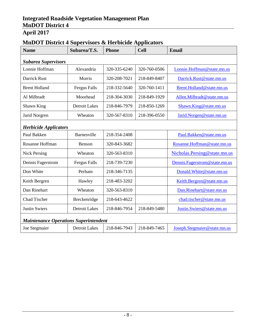# **Name Subarea/T.S. Phone Cell Email** *Subarea Supervisors* Lonnie Hoffman Alexandria 320-335-6240 320-760-0506 [Lonnie.Hoffman@state.mn.us](mailto:Lonnie.Hoffman@state.mn.us) Darrick Rust Morris 1 320-208-7021 218-849-8407 [Darrick.Rust@state.mn.us](mailto:Darrick.Rust@state.mn.us) Brent Holland Fergus Falls 218-332-5640 320-760-1411 Brent.Holland @state.mn.us Al Milbradt Moorhead 218-304-3030 218-849-1929 Allen.Milbradt @state.mn.us Shawn King Detroit Lakes 218-846-7979 218-850-1269 [Shawn.King@state.mn.us](mailto:Shawn.King@state.mn.us) Jarid Norgren Wheaton 320-567-8310 218-396-0550 [Jarid.Norgen@state.mn.us](mailto:jarid.norgren@state.mn.us) *Herbicide Applicators* Paul Bakken Barnesville 218-354-2408 [Paul.Bakken@state.mn.us](mailto:Paul.Bakken@state.mn.us) Rosanne Hoffman Benson 320-843-3682 [Rosanne.Hoffman@state.mn.us](mailto:Rosanne.Hoffman@state.mn.us) Nick Persing Wheaton 320-563-8310 [Nicholas.Persing@state.mn.us](mailto:Nicholas.Persing@state.mn.us) Dennis Fagerstrom Fergus Falls 218-739-7230 [Dennis.Fagerstrom@state.mn.us](mailto:Dennis.Fagerstrom@state.mn.us) Don White Perham 218-346-7135 Donald.White @state.mn.us Keith Bergren Hawley 218-483-3202 | [Keith.Bergren@state.mn.us](mailto:Keith.Bergren@state.mn.us) Dan Rinehart Vheaton 320-563-8310 Dan.Rinehart @state.mn.us Chad Tischer Breckenridge 218-643-4622 chad.tischer@state.mn.us Justin Swiers **Detroit Lakes** 218-846-7954 218-849-5480 Justin.Swiers@state.mn.us

### **MnDOT District 4 Supervisors & Herbicide Applicators**

## *Maintenance Operations Superintendent*

|  | Joe Stegmaier | Detroit Lakes | 218-846-7943 218-849-7465 |  | Joseph. Steemaier@state.mn.us |
|--|---------------|---------------|---------------------------|--|-------------------------------|
|--|---------------|---------------|---------------------------|--|-------------------------------|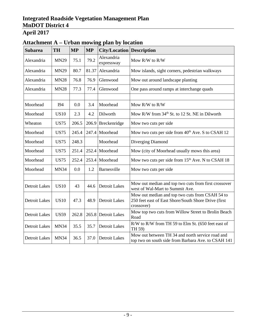|                      | rturchhnent i r<br>croan mowing plan by focation |           |           |                                  |                                                                                                                       |  |
|----------------------|--------------------------------------------------|-----------|-----------|----------------------------------|-----------------------------------------------------------------------------------------------------------------------|--|
| <b>Subarea</b>       | <b>TH</b>                                        | <b>MP</b> | <b>MP</b> | <b>City/Location Description</b> |                                                                                                                       |  |
| Alexandria           | <b>MN29</b>                                      | 75.1      | 79.2      | Alexandria<br>expressway         | Mow R/W to R/W                                                                                                        |  |
| Alexandria           | <b>MN29</b>                                      | 80.7      | 81.37     | Alexandria                       | Mow islands, sight corners, pedestrian walkways                                                                       |  |
| Alexandria           | <b>MN28</b>                                      | 76.8      | 76.9      | Glenwood                         | Mow out around landscape planting                                                                                     |  |
| Alexandria           | <b>MN28</b>                                      | 77.3      | 77.4      | Glenwood                         | One pass around ramps at interchange quads                                                                            |  |
|                      |                                                  |           |           |                                  |                                                                                                                       |  |
| Moorhead             | <b>I94</b>                                       | 0.0       | 3.4       | Moorhead                         | Mow R/W to R/W                                                                                                        |  |
| Moorhead             | <b>US10</b>                                      | 2.3       | 4.2       | Dilworth                         | Mow R/W from 34 <sup>th</sup> St. to 12 St. NE in Dilworth                                                            |  |
| Wheaton              | <b>US75</b>                                      | 206.5     |           | 206.9 Breckenridge               | Mow two cuts per side                                                                                                 |  |
| Moorhead             | <b>US75</b>                                      | 245.4     | 247.4     | Moorhead                         | Mow two cuts per side from 40 <sup>th</sup> Ave. S to CSAH 12                                                         |  |
| Moorhead             | <b>US75</b>                                      | 248.3     |           | Moorhead                         | Diverging Diamond                                                                                                     |  |
| Moorhead             | <b>US75</b>                                      | 251.4     | 252.4     | Moorhead                         | Mow (city of Moorhead usually mows this area)                                                                         |  |
| Moorhead             | <b>US75</b>                                      | 252.4     |           | 253.4 Moorhead                   | Mow two cuts per side from 15 <sup>th</sup> Ave. N to CSAH 18                                                         |  |
| Moorhead             | <b>MN34</b>                                      | 0.0       | 1.2       | Barnesville                      | Mow two cuts per side                                                                                                 |  |
|                      |                                                  |           |           |                                  |                                                                                                                       |  |
| <b>Detroit Lakes</b> | <b>US10</b>                                      | 43        | 44.6      | <b>Detroit Lakes</b>             | Mow out median and top two cuts from first crossover<br>west of Wal-Mart to Summit Ave.                               |  |
| <b>Detroit Lakes</b> | <b>US10</b>                                      | 47.3      | 48.9      | <b>Detroit Lakes</b>             | Mow out median and top two cuts from CSAH 54 to<br>250 feet east of East Shore/South Shore Drive (first<br>crossover) |  |
| <b>Detroit Lakes</b> | <b>US59</b>                                      | 262.8     |           | 265.8 Detroit Lakes              | Mow top two cuts from Willow Street to Brolin Beach<br>Road                                                           |  |
| <b>Detroit Lakes</b> | <b>MN34</b>                                      | 35.5      | 35.7      | <b>Detroit Lakes</b>             | R/W to R/W from TH 59 to Elm St. (650 feet east of<br>TH 59)                                                          |  |
| <b>Detroit Lakes</b> | <b>MN34</b>                                      | 36.5      | 37.0      | <b>Detroit Lakes</b>             | Mow out between TH 34 and north service road and<br>top two on south side from Barbara Ave. to CSAH 141               |  |

## **Attachment A – Urban mowing plan by location**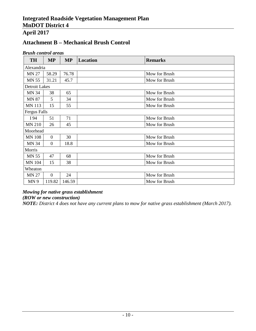## **April 2017**

## **Attachment B – Mechanical Brush Control**

#### *Brush control areas*

| <b>TH</b>            | <b>MP</b>        | <b>MP</b> | <b>Location</b> | <b>Remarks</b> |
|----------------------|------------------|-----------|-----------------|----------------|
| Alexandria           |                  |           |                 |                |
| <b>MN 27</b>         | 58.29            | 76.78     |                 | Mow for Brush  |
| <b>MN 55</b>         | 31.21            | 45.7      |                 | Mow for Brush  |
| <b>Detroit Lakes</b> |                  |           |                 |                |
| <b>MN 34</b>         | 38               | 65        |                 | Mow for Brush  |
| <b>MN 87</b>         | 5                | 34        |                 | Mow for Brush  |
| <b>MN 113</b>        | 15               | 55        |                 | Mow for Brush  |
| <b>Fergus Falls</b>  |                  |           |                 |                |
| I 94                 | 51               | 71        |                 | Mow for Brush  |
| <b>MN 210</b>        | 26               | 45        |                 | Mow for Brush  |
| Moorhead             |                  |           |                 |                |
| <b>MN 108</b>        | $\overline{0}$   | 30        |                 | Mow for Brush  |
| <b>MN 34</b>         | $\boldsymbol{0}$ | 18.8      |                 | Mow for Brush  |
| Morris               |                  |           |                 |                |
| <b>MN 55</b>         | 47               | 68        |                 | Mow for Brush  |
| <b>MN 104</b>        | 15               | 38        |                 | Mow for Brush  |
| Wheaton              |                  |           |                 |                |
| <b>MN 27</b>         | $\overline{0}$   | 24        |                 | Mow for Brush  |
| MN <sub>9</sub>      | 119.82           | 146.59    |                 | Mow for Brush  |

#### *Mowing for native grass establishment*

*(ROW or new construction)*

*NOTE: District 4 does not have any current plans to mow for native grass establishment (March 2017).*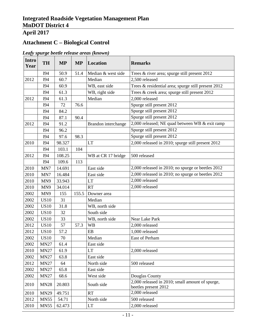# **Attachment C – Biological Control**

| <b>Intro</b><br>Year | <b>TH</b>   | <b>MP</b> | <b>MP</b> | <b>Location</b>     | <b>Remarks</b>                                                          |
|----------------------|-------------|-----------|-----------|---------------------|-------------------------------------------------------------------------|
|                      | <b>I94</b>  | 50.9      | 51.4      | Median & west side  | Trees & river area; spurge still present 2012                           |
| 2012                 | <b>I94</b>  | 60.7      |           | Median              | 2,500 released                                                          |
|                      | <b>I94</b>  | 60.9      |           | WB, east side       | Trees & residential area; spurge still present 2012                     |
|                      | <b>I94</b>  | 61.3      |           | WB, right side      | Trees & creek area; spurge still present 2012                           |
| 2012                 | <b>I94</b>  | 61.3      |           | Median              | 2,000 released                                                          |
|                      | <b>I94</b>  | 72        | 76.6      |                     | Spurge still present 2012                                               |
|                      | <b>I94</b>  | 84.2      |           |                     | Spurge still present 2012                                               |
|                      | <b>I94</b>  | 87.1      | 90.4      |                     | Spurge still present 2012                                               |
| 2012                 | <b>I94</b>  | 91.2      |           | Brandon interchange | 2,000 released; NE quad between WB & exit ramp                          |
|                      | <b>I94</b>  | 96.2      |           |                     | Spurge still present 2012                                               |
|                      | <b>I94</b>  | 97.6      | 98.3      |                     | Spurge still present 2012                                               |
| 2010                 | <b>I94</b>  | 98.327    |           | LT                  | 2,000 released in 2010; spurge still present 2012                       |
|                      | <b>I94</b>  | 103.1     | 104       |                     |                                                                         |
| 2012                 | <b>I94</b>  | 108.25    |           | WB at CR 17 bridge  | 500 released                                                            |
|                      | <b>I94</b>  | 109.6     | 113       |                     |                                                                         |
| 2010                 | MN7         | 14.691    |           | East side           | 2,000 released in 2010; no spurge or beetles 2012                       |
| 2010                 | MN7         | 16.484    |           | East side           | 2,000 released in 2010; no spurge or beetles 2012                       |
| 2010                 | MN9         | 33.943    |           | LT                  | 2,000 released                                                          |
| 2010                 | MN9         | 34.014    |           | <b>RT</b>           | 2,000 released                                                          |
| 2002                 | MN9         | 155       | 155.5     | Downer area         |                                                                         |
| 2002                 | <b>US10</b> | 31        |           | Median              |                                                                         |
| 2002                 | <b>US10</b> | 31.8      |           | WB, north side      |                                                                         |
| 2002                 | <b>US10</b> | 32        |           | South side          |                                                                         |
| 2002                 | <b>US10</b> | 33        |           | WB, north side      | Near Lake Park                                                          |
| 2012                 | <b>US10</b> | 57        | 57.3      | <b>WB</b>           | 2,000 released                                                          |
| 2012                 | <b>US10</b> | 57.2      |           | EB                  | 1,000 released                                                          |
| 2002                 | <b>US10</b> | 70        |           | Median              | East of Perham                                                          |
| 2002                 | <b>MN27</b> | 61.4      |           | East side           |                                                                         |
| 2010                 | <b>MN27</b> | 61.9      |           | <b>LT</b>           | 2,000 released                                                          |
| 2002                 | <b>MN27</b> | 63.8      |           | East side           |                                                                         |
| 2012                 | MN27        | 64        |           | North side          | 500 released                                                            |
| 2002                 | MN27        | 65.8      |           | East side           |                                                                         |
| 2002                 | <b>MN27</b> | 68.6      |           | West side           | Douglas County                                                          |
| 2010                 | <b>MN28</b> | 20.803    |           | South side          | 2,000 released in 2010; small amount of spurge,<br>beetles present 2012 |
| 2010                 | <b>MN29</b> | 49.751    |           | <b>RT</b>           | 2,000 released                                                          |
| 2012                 | <b>MN55</b> | 54.71     |           | North side          | 500 released                                                            |
| 2010                 | <b>MN55</b> | 62.473    |           | <b>LT</b>           | 2,000 released                                                          |

#### *Leafy spurge beetle release areas (known)*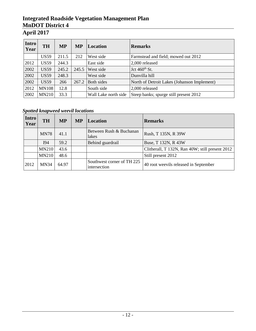## **April 2017**

| <b>Intro</b><br>Year | <b>TH</b>    | <b>MP</b> | <b>MP</b> | Location             | <b>Remarks</b>                              |
|----------------------|--------------|-----------|-----------|----------------------|---------------------------------------------|
|                      | <b>US59</b>  | 211.5     | 212       | West side            | Farmstead and field; mowed out 2012         |
| 2012                 | <b>US59</b>  | 244.3     |           | East side            | 2,000 released                              |
| 2002                 | <b>US59</b>  | 245.2     | 245.5     | West side            | Jct 460 <sup>th</sup> St.                   |
| 2002                 | <b>US59</b>  | 248.3     |           | West side            | Dunvilla hill                               |
| 2002                 | <b>US59</b>  | 266       | 267.2     | Both sides           | North of Detroit Lakes (Johanson Implement) |
| 2012                 | <b>MN108</b> | 12.8      |           | South side           | 2,000 released                              |
| 2002                 | <b>MN210</b> | 33.3      |           | Wall Lake north side | Steep banks; spurge still present 2012      |

*Spotted knapweed weevil locations*

| <b>Intro</b><br>Year | <b>TH</b>    | <b>MP</b> | <b>MP</b> | <b>Location</b>                            | <b>Remarks</b>                                  |
|----------------------|--------------|-----------|-----------|--------------------------------------------|-------------------------------------------------|
|                      | <b>MN78</b>  | 41.1      |           | Between Rush & Buchanan<br>lakes           | Rush, T 135N, R 39W                             |
|                      | I94          | 59.2      |           | Behind guardrail                           | Buse, T 132N, R 43W                             |
|                      | <b>MN210</b> | 43.6      |           |                                            | Clitherall, T 132N, Ran 40W; still present 2012 |
|                      | <b>MN210</b> | 48.6      |           |                                            | Still present 2012                              |
| 2012                 | <b>MN34</b>  | 64.97     |           | Southwest corner of TH 225<br>intersection | 40 root weevils released in September           |